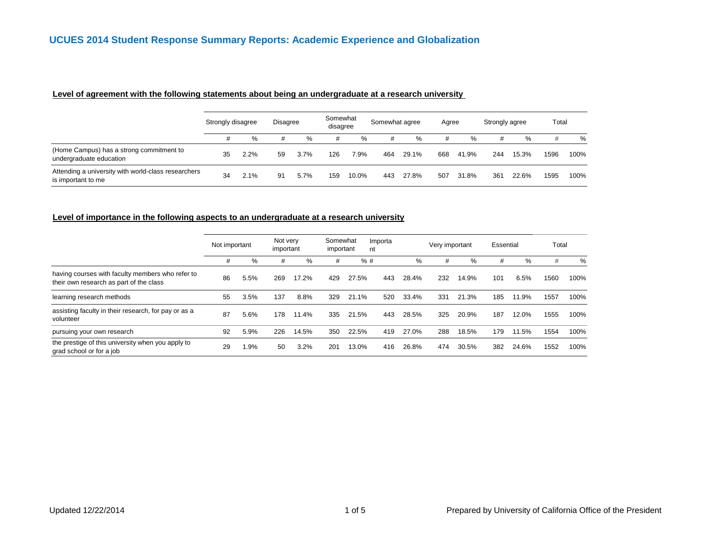#### **Level of agreement with the following statements about being an undergraduate at a research university**

|                                                                           | Strongly disagree |      | <b>Disagree</b> |      | Somewhat<br>disagree |       | Somewhat agree |       | Agree |       | Strongly agree |       | Total |      |
|---------------------------------------------------------------------------|-------------------|------|-----------------|------|----------------------|-------|----------------|-------|-------|-------|----------------|-------|-------|------|
|                                                                           |                   | %    | #               | %    | #                    | %     | #              | %     |       | %     |                | %     | #     | %    |
| (Home Campus) has a strong commitment to<br>undergraduate education       | 35                | 2.2% | 59              | 3.7% | 126                  | 7.9%  | 464            | 29.1% | 668   | 41.9% | 244            | 15.3% | 1596  | 100% |
| Attending a university with world-class researchers<br>is important to me | 34                | 2.1% | 91              | 5.7% | 159                  | 10.0% | 443            | 27.8% | 507   | 31.8% | 361            | 22.6% | 1595  | 100% |

#### **Level of importance in the following aspects to an undergraduate at a research university**

|                                                                                             | Not important |      | Not very<br>important |       | Somewhat<br>Importa<br>important<br>nt |       |     |       | Very important |       | Essential |       | Total |      |
|---------------------------------------------------------------------------------------------|---------------|------|-----------------------|-------|----------------------------------------|-------|-----|-------|----------------|-------|-----------|-------|-------|------|
|                                                                                             | #             | %    | #                     | %     | #                                      | %#    |     | %     | #              | %     | #         | %     | #     | %    |
| having courses with faculty members who refer to<br>their own research as part of the class | 86            | 5.5% | 269                   | 17.2% | 429                                    | 27.5% | 443 | 28.4% | 232            | 14.9% | 101       | 6.5%  | 1560  | 100% |
| learning research methods                                                                   | 55            | 3.5% | 137                   | 8.8%  | 329                                    | 21.1% | 520 | 33.4% | 331            | 21.3% | 185       | 11.9% | 1557  | 100% |
| assisting faculty in their research, for pay or as a<br>volunteer                           | 87            | 5.6% | 178                   | 11.4% | 335                                    | 21.5% | 443 | 28.5% | 325            | 20.9% | 187       | 12.0% | 1555  | 100% |
| pursuing your own research                                                                  | 92            | 5.9% | 226                   | 14.5% | 350                                    | 22.5% | 419 | 27.0% | 288            | 18.5% | 179       | 11.5% | 1554  | 100% |
| the prestige of this university when you apply to<br>grad school or for a job               | 29            | .9%  | 50                    | 3.2%  | 201                                    | 13.0% | 416 | 26.8% | 474            | 30.5% | 382       | 24.6% | 1552  | 100% |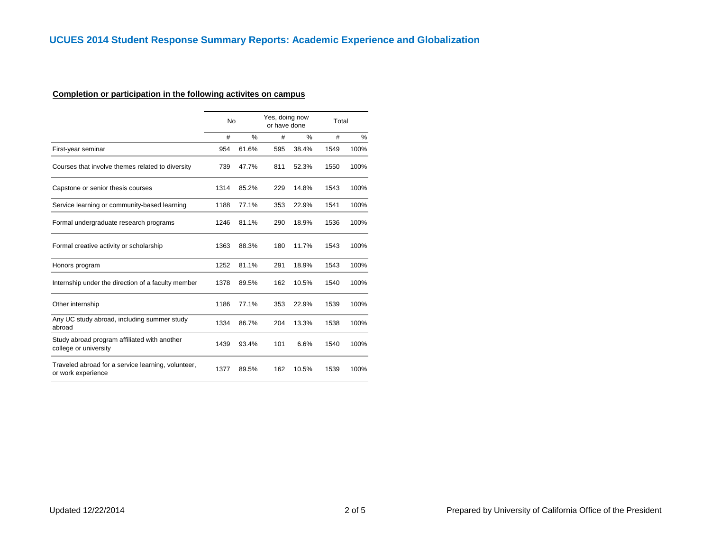# **Completion or participation in the following activites on campus**

|                                                                          | No   |               | Yes, doing now<br>or have done |       | Total |      |
|--------------------------------------------------------------------------|------|---------------|--------------------------------|-------|-------|------|
|                                                                          | #    | $\frac{0}{0}$ | #                              | $\%$  | #     | %    |
| First-year seminar                                                       | 954  | 61.6%         | 595                            | 38.4% | 1549  | 100% |
| Courses that involve themes related to diversity                         | 739  | 47.7%         | 811                            | 52.3% | 1550  | 100% |
| Capstone or senior thesis courses                                        | 1314 | 85.2%         | 229                            | 14.8% | 1543  | 100% |
| Service learning or community-based learning                             | 1188 | 77.1%         | 353                            | 22.9% | 1541  | 100% |
| Formal undergraduate research programs                                   | 1246 | 81.1%         | 290                            | 18.9% | 1536  | 100% |
| Formal creative activity or scholarship                                  | 1363 | 88.3%         | 180                            | 11.7% | 1543  | 100% |
| Honors program                                                           | 1252 | 81.1%         | 291                            | 18.9% | 1543  | 100% |
| Internship under the direction of a faculty member                       | 1378 | 89.5%         | 162                            | 10.5% | 1540  | 100% |
| Other internship                                                         | 1186 | 77.1%         | 353                            | 22.9% | 1539  | 100% |
| Any UC study abroad, including summer study<br>abroad                    | 1334 | 86.7%         | 204                            | 13.3% | 1538  | 100% |
| Study abroad program affiliated with another<br>college or university    | 1439 | 93.4%         | 101                            | 6.6%  | 1540  | 100% |
| Traveled abroad for a service learning, volunteer,<br>or work experience | 1377 | 89.5%         | 162                            | 10.5% | 1539  | 100% |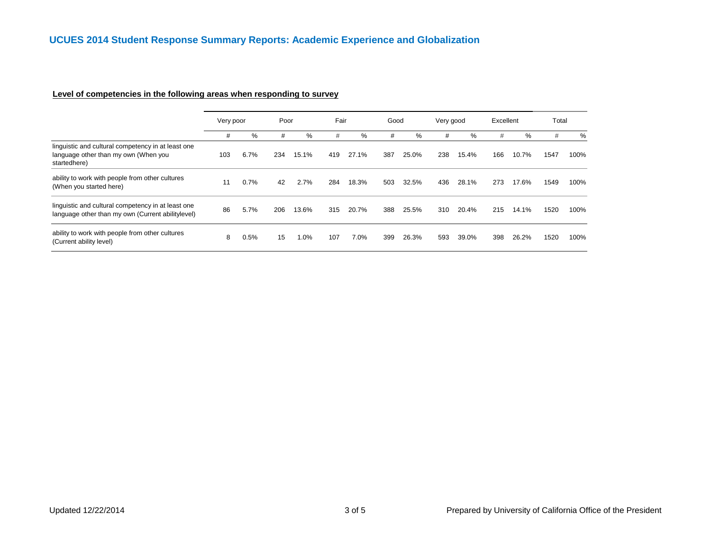# **Level of competencies in the following areas when responding to survey**

|                                                                                                            | Very poor |      | Poor |         | Fair |       | Good |       | Very good |       | Excellent |       | Total |      |
|------------------------------------------------------------------------------------------------------------|-----------|------|------|---------|------|-------|------|-------|-----------|-------|-----------|-------|-------|------|
|                                                                                                            | #         | %    | #    | %       | #    | %     | #    | %     | #         | %     | #         | %     | #     | %    |
| linguistic and cultural competency in at least one<br>language other than my own (When you<br>startedhere) | 103       | 6.7% | 234  | 15.1%   | 419  | 27.1% | 387  | 25.0% | 238       | 15.4% | 166       | 10.7% | 1547  | 100% |
| ability to work with people from other cultures<br>(When you started here)                                 | 11        | 0.7% | 42   | 2.7%    | 284  | 18.3% | 503  | 32.5% | 436       | 28.1% | 273       | 17.6% | 1549  | 100% |
| linguistic and cultural competency in at least one<br>language other than my own (Current abilitylevel)    | 86        | 5.7% | 206  | 13.6%   | 315  | 20.7% | 388  | 25.5% | 310       | 20.4% | 215       | 14.1% | 1520  | 100% |
| ability to work with people from other cultures<br>(Current ability level)                                 | 8         | 0.5% | 15   | $1.0\%$ | 107  | 7.0%  | 399  | 26.3% | 593       | 39.0% | 398       | 26.2% | 1520  | 100% |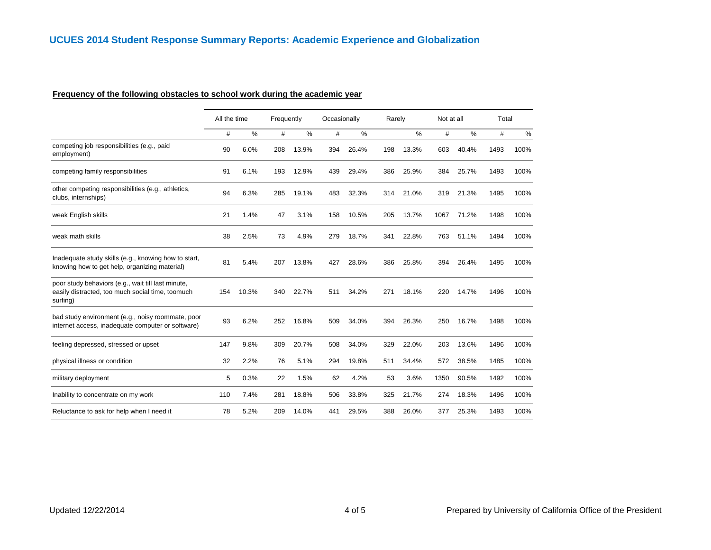#### **Frequency of the following obstacles to school work during the academic year**

|                                                                                                                    | All the time |       | Frequently |       | Occasionally |       | Rarely |       | Not at all |       | Total |      |
|--------------------------------------------------------------------------------------------------------------------|--------------|-------|------------|-------|--------------|-------|--------|-------|------------|-------|-------|------|
|                                                                                                                    | #            | %     | #          | %     | #            | %     |        | %     | #          | %     | $\#$  | $\%$ |
| competing job responsibilities (e.g., paid<br>employment)                                                          | 90           | 6.0%  | 208        | 13.9% | 394          | 26.4% | 198    | 13.3% | 603        | 40.4% | 1493  | 100% |
| competing family responsibilities                                                                                  | 91           | 6.1%  | 193        | 12.9% | 439          | 29.4% | 386    | 25.9% | 384        | 25.7% | 1493  | 100% |
| other competing responsibilities (e.g., athletics,<br>clubs, internships)                                          | 94           | 6.3%  | 285        | 19.1% | 483          | 32.3% | 314    | 21.0% | 319        | 21.3% | 1495  | 100% |
| weak English skills                                                                                                | 21           | 1.4%  | 47         | 3.1%  | 158          | 10.5% | 205    | 13.7% | 1067       | 71.2% | 1498  | 100% |
| weak math skills                                                                                                   | 38           | 2.5%  | 73         | 4.9%  | 279          | 18.7% | 341    | 22.8% | 763        | 51.1% | 1494  | 100% |
| Inadequate study skills (e.g., knowing how to start,<br>knowing how to get help, organizing material)              | 81           | 5.4%  | 207        | 13.8% | 427          | 28.6% | 386    | 25.8% | 394        | 26.4% | 1495  | 100% |
| poor study behaviors (e.g., wait till last minute,<br>easily distracted, too much social time, toomuch<br>surfing) | 154          | 10.3% | 340        | 22.7% | 511          | 34.2% | 271    | 18.1% | 220        | 14.7% | 1496  | 100% |
| bad study environment (e.g., noisy roommate, poor<br>internet access, inadequate computer or software)             | 93           | 6.2%  | 252        | 16.8% | 509          | 34.0% | 394    | 26.3% | 250        | 16.7% | 1498  | 100% |
| feeling depressed, stressed or upset                                                                               | 147          | 9.8%  | 309        | 20.7% | 508          | 34.0% | 329    | 22.0% | 203        | 13.6% | 1496  | 100% |
| physical illness or condition                                                                                      | 32           | 2.2%  | 76         | 5.1%  | 294          | 19.8% | 511    | 34.4% | 572        | 38.5% | 1485  | 100% |
| military deployment                                                                                                | 5            | 0.3%  | 22         | 1.5%  | 62           | 4.2%  | 53     | 3.6%  | 1350       | 90.5% | 1492  | 100% |
| Inability to concentrate on my work                                                                                | 110          | 7.4%  | 281        | 18.8% | 506          | 33.8% | 325    | 21.7% | 274        | 18.3% | 1496  | 100% |
| Reluctance to ask for help when I need it                                                                          | 78           | 5.2%  | 209        | 14.0% | 441          | 29.5% | 388    | 26.0% | 377        | 25.3% | 1493  | 100% |